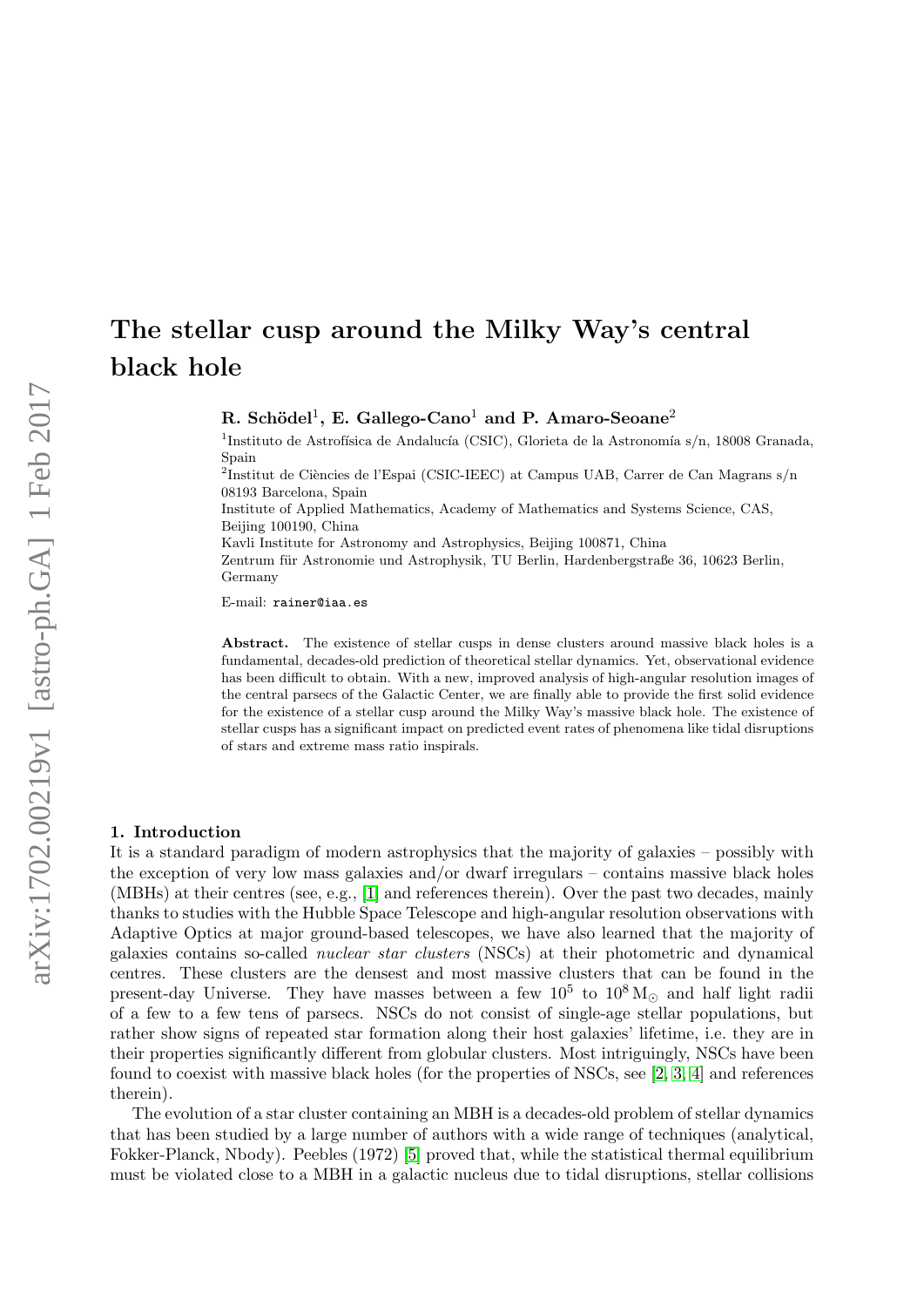# The stellar cusp around the Milky Way's central black hole

# R. Schödel<sup>1</sup>, E. Gallego-Cano<sup>1</sup> and P. Amaro-Seoane<sup>2</sup>

<sup>1</sup>Instituto de Astrofísica de Andalucía (CSIC), Glorieta de la Astronomía s/n, 18008 Granada, Spain

<sup>2</sup>Institut de Ciències de l'Espai (CSIC-IEEC) at Campus UAB, Carrer de Can Magrans s/n 08193 Barcelona, Spain

Institute of Applied Mathematics, Academy of Mathematics and Systems Science, CAS, Beijing 100190, China

Kavli Institute for Astronomy and Astrophysics, Beijing 100871, China

Zentrum für Astronomie und Astrophysik, TU Berlin, Hardenbergstraße 36, 10623 Berlin, Germany

E-mail: rainer@iaa.es

Abstract. The existence of stellar cusps in dense clusters around massive black holes is a fundamental, decades-old prediction of theoretical stellar dynamics. Yet, observational evidence has been difficult to obtain. With a new, improved analysis of high-angular resolution images of the central parsecs of the Galactic Center, we are finally able to provide the first solid evidence for the existence of a stellar cusp around the Milky Way's massive black hole. The existence of stellar cusps has a significant impact on predicted event rates of phenomena like tidal disruptions of stars and extreme mass ratio inspirals.

#### <span id="page-0-0"></span>1. Introduction

It is a standard paradigm of modern astrophysics that the majority of galaxies – possibly with the exception of very low mass galaxies and/or dwarf irregulars – contains massive black holes (MBHs) at their centres (see, e.g., [\[1\]](#page-6-0) and references therein). Over the past two decades, mainly thanks to studies with the Hubble Space Telescope and high-angular resolution observations with Adaptive Optics at major ground-based telescopes, we have also learned that the majority of galaxies contains so-called nuclear star clusters (NSCs) at their photometric and dynamical centres. These clusters are the densest and most massive clusters that can be found in the present-day Universe. They have masses between a few  $10^5$  to  $10^8$  M<sub> $\odot$ </sub> and half light radii of a few to a few tens of parsecs. NSCs do not consist of single-age stellar populations, but rather show signs of repeated star formation along their host galaxies' lifetime, i.e. they are in their properties significantly different from globular clusters. Most intriguingly, NSCs have been found to coexist with massive black holes (for the properties of NSCs, see [\[2,](#page-6-1) [3,](#page-6-2) [4\]](#page-6-3) and references therein).

The evolution of a star cluster containing an MBH is a decades-old problem of stellar dynamics that has been studied by a large number of authors with a wide range of techniques (analytical, Fokker-Planck, Nbody). Peebles (1972) [\[5\]](#page-6-4) proved that, while the statistical thermal equilibrium must be violated close to a MBH in a galactic nucleus due to tidal disruptions, stellar collisions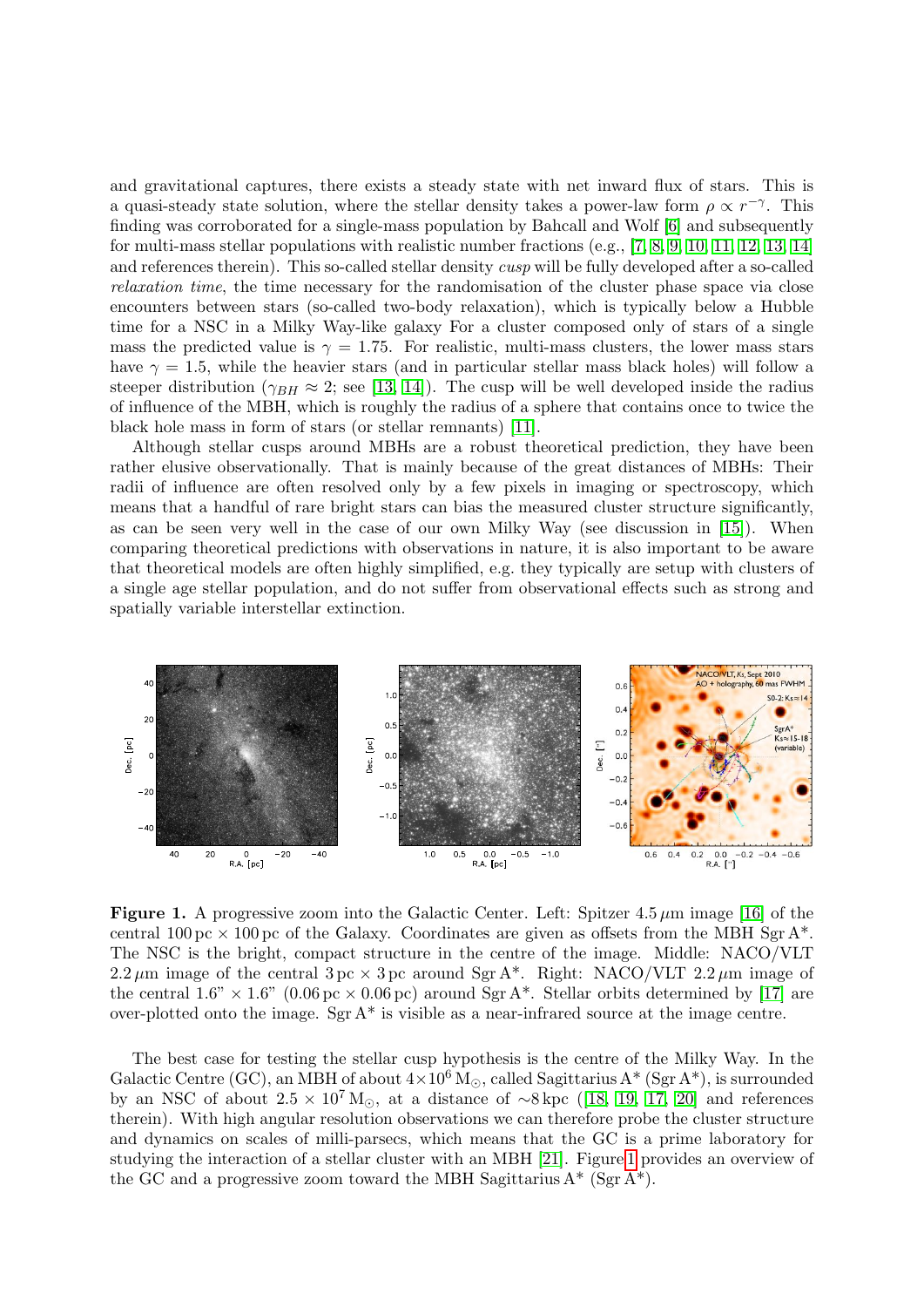and gravitational captures, there exists a steady state with net inward flux of stars. This is a quasi-steady state solution, where the stellar density takes a power-law form  $\rho \propto r^{-\gamma}$ . This finding was corroborated for a single-mass population by Bahcall and Wolf [\[6\]](#page-6-5) and subsequently for multi-mass stellar populations with realistic number fractions (e.g., [\[7,](#page-6-6) [8,](#page-6-7) [9,](#page-6-8) [10,](#page-6-9) [11,](#page-6-10) [12,](#page-6-11) [13,](#page-6-12) [14\]](#page-6-13) and references therein). This so-called stellar density cusp will be fully developed after a so-called relaxation time, the time necessary for the randomisation of the cluster phase space via close encounters between stars (so-called two-body relaxation), which is typically below a Hubble time for a NSC in a Milky Way-like galaxy For a cluster composed only of stars of a single mass the predicted value is  $\gamma = 1.75$ . For realistic, multi-mass clusters, the lower mass stars have  $\gamma = 1.5$ , while the heavier stars (and in particular stellar mass black holes) will follow a steeper distribution ( $\gamma_{BH} \approx 2$ ; see [\[13,](#page-6-12) [14\]](#page-6-13)). The cusp will be well developed inside the radius of influence of the MBH, which is roughly the radius of a sphere that contains once to twice the black hole mass in form of stars (or stellar remnants) [\[11\]](#page-6-10).

Although stellar cusps around MBHs are a robust theoretical prediction, they have been rather elusive observationally. That is mainly because of the great distances of MBHs: Their radii of influence are often resolved only by a few pixels in imaging or spectroscopy, which means that a handful of rare bright stars can bias the measured cluster structure significantly, as can be seen very well in the case of our own Milky Way (see discussion in [\[15\]](#page-6-14)). When comparing theoretical predictions with observations in nature, it is also important to be aware that theoretical models are often highly simplified, e.g. they typically are setup with clusters of a single age stellar population, and do not suffer from observational effects such as strong and spatially variable interstellar extinction.



**Figure 1.** A progressive zoom into the Galactic Center. Left: Spitzer  $4.5 \mu m$  image [\[16\]](#page-6-15) of the central 100 pc  $\times$  100 pc of the Galaxy. Coordinates are given as offsets from the MBH Sgr A<sup>\*</sup>. The NSC is the bright, compact structure in the centre of the image. Middle: NACO/VLT 2.2  $\mu$ m image of the central 3 pc  $\times$  3 pc around Sgr A<sup>\*</sup>. Right: NACO/VLT 2.2  $\mu$ m image of the central  $1.6$ "  $\times$   $1.6$ " (0.06 pc  $\times$  0.06 pc) around Sgr A<sup>\*</sup>. Stellar orbits determined by [\[17\]](#page-6-16) are over-plotted onto the image. Sgr  $A^*$  is visible as a near-infrared source at the image centre.

The best case for testing the stellar cusp hypothesis is the centre of the Milky Way. In the Galactic Centre (GC), an MBH of about  $4 \times 10^6$  M<sub> $\odot$ </sub>, called Sagittarius A\* (Sgr A\*), is surrounded by an NSC of about  $2.5 \times 10^7$  M<sub>☉</sub>, at a distance of ∼8 kpc ([\[18,](#page-6-17) [19,](#page-6-18) [17,](#page-6-16) [20\]](#page-6-19) and references therein). With high angular resolution observations we can therefore probe the cluster structure and dynamics on scales of milli-parsecs, which means that the GC is a prime laboratory for studying the interaction of a stellar cluster with an MBH [\[21\]](#page-6-20). Figure [1](#page-0-0) provides an overview of the GC and a progressive zoom toward the MBH Sagittarius  $A^*$  (Sgr  $A^*$ ).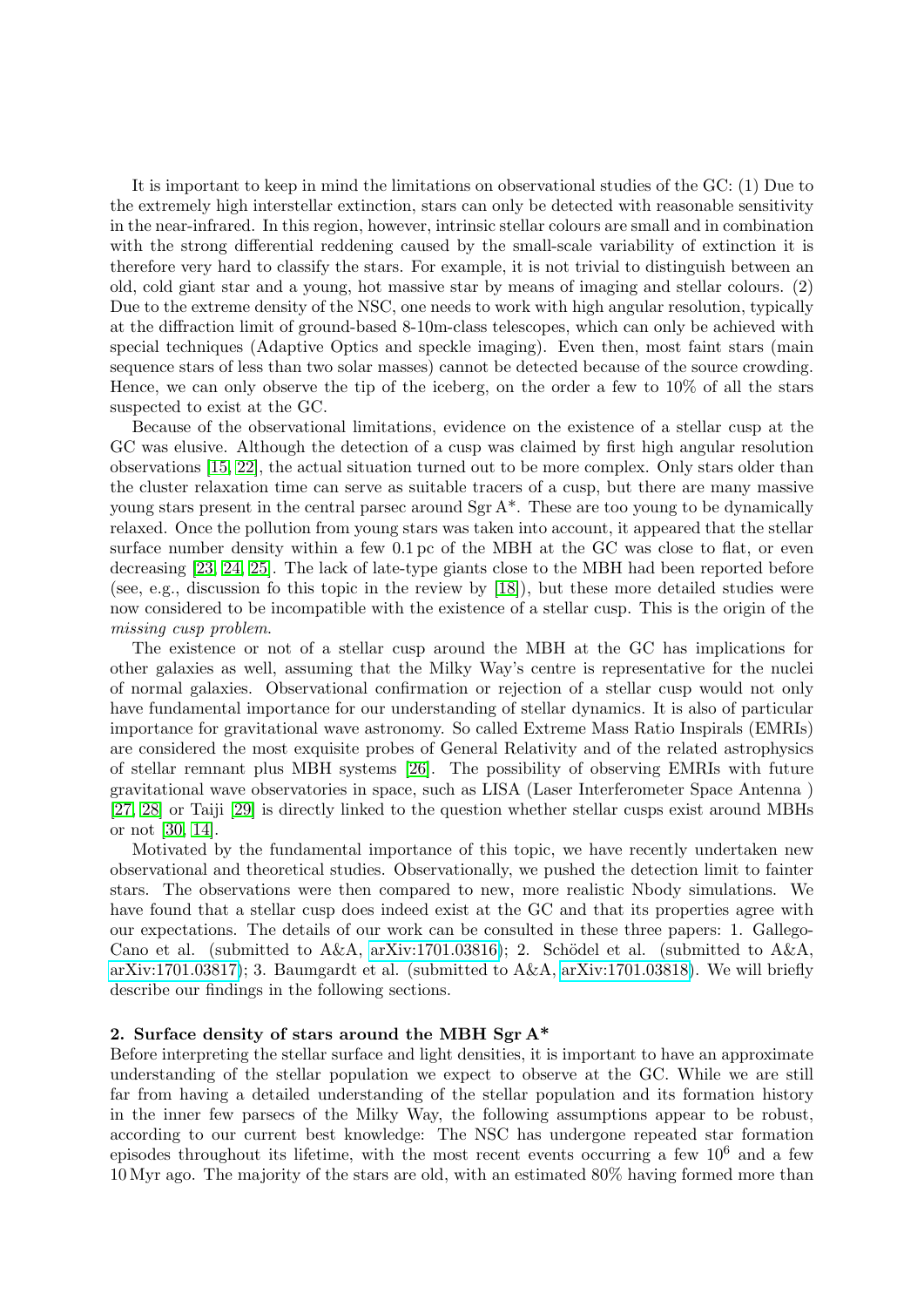It is important to keep in mind the limitations on observational studies of the GC: (1) Due to the extremely high interstellar extinction, stars can only be detected with reasonable sensitivity in the near-infrared. In this region, however, intrinsic stellar colours are small and in combination with the strong differential reddening caused by the small-scale variability of extinction it is therefore very hard to classify the stars. For example, it is not trivial to distinguish between an old, cold giant star and a young, hot massive star by means of imaging and stellar colours. (2) Due to the extreme density of the NSC, one needs to work with high angular resolution, typically at the diffraction limit of ground-based 8-10m-class telescopes, which can only be achieved with special techniques (Adaptive Optics and speckle imaging). Even then, most faint stars (main sequence stars of less than two solar masses) cannot be detected because of the source crowding. Hence, we can only observe the tip of the iceberg, on the order a few to  $10\%$  of all the stars suspected to exist at the GC.

Because of the observational limitations, evidence on the existence of a stellar cusp at the GC was elusive. Although the detection of a cusp was claimed by first high angular resolution observations [\[15,](#page-6-14) [22\]](#page-7-0), the actual situation turned out to be more complex. Only stars older than the cluster relaxation time can serve as suitable tracers of a cusp, but there are many massive young stars present in the central parsec around Sgr A\*. These are too young to be dynamically relaxed. Once the pollution from young stars was taken into account, it appeared that the stellar surface number density within a few 0.1 pc of the MBH at the GC was close to flat, or even decreasing [\[23,](#page-7-1) [24,](#page-7-2) [25\]](#page-7-3). The lack of late-type giants close to the MBH had been reported before (see, e.g., discussion fo this topic in the review by [\[18\]](#page-6-17)), but these more detailed studies were now considered to be incompatible with the existence of a stellar cusp. This is the origin of the missing cusp problem.

The existence or not of a stellar cusp around the MBH at the GC has implications for other galaxies as well, assuming that the Milky Way's centre is representative for the nuclei of normal galaxies. Observational confirmation or rejection of a stellar cusp would not only have fundamental importance for our understanding of stellar dynamics. It is also of particular importance for gravitational wave astronomy. So called Extreme Mass Ratio Inspirals (EMRIs) are considered the most exquisite probes of General Relativity and of the related astrophysics of stellar remnant plus MBH systems [\[26\]](#page-7-4). The possibility of observing EMRIs with future gravitational wave observatories in space, such as LISA (Laser Interferometer Space Antenna ) [\[27,](#page-7-5) [28\]](#page-7-6) or Taiji [\[29\]](#page-7-7) is directly linked to the question whether stellar cusps exist around MBHs or not [\[30,](#page-7-8) [14\]](#page-6-13).

Motivated by the fundamental importance of this topic, we have recently undertaken new observational and theoretical studies. Observationally, we pushed the detection limit to fainter stars. The observations were then compared to new, more realistic Nbody simulations. We have found that a stellar cusp does indeed exist at the GC and that its properties agree with our expectations. The details of our work can be consulted in these three papers: 1. GallegoCano et al. (submitted to A&A, [arXiv:1701.03816\)](http://arxiv.org/abs/1701.03816); 2. Schödel et al. (submitted to A&A, [arXiv:1701.03817\)](http://arxiv.org/abs/1701.03817); 3. Baumgardt et al. (submitted to A&A, [arXiv:1701.03818\)](http://arxiv.org/abs/1701.03818). We will briefly describe our findings in the following sections.

### <span id="page-2-0"></span>2. Surface density of stars around the MBH Sgr A\*

Before interpreting the stellar surface and light densities, it is important to have an approximate understanding of the stellar population we expect to observe at the GC. While we are still far from having a detailed understanding of the stellar population and its formation history in the inner few parsecs of the Milky Way, the following assumptions appear to be robust, according to our current best knowledge: The NSC has undergone repeated star formation episodes throughout its lifetime, with the most recent events occurring a few  $10^6$  and a few 10 Myr ago. The majority of the stars are old, with an estimated 80% having formed more than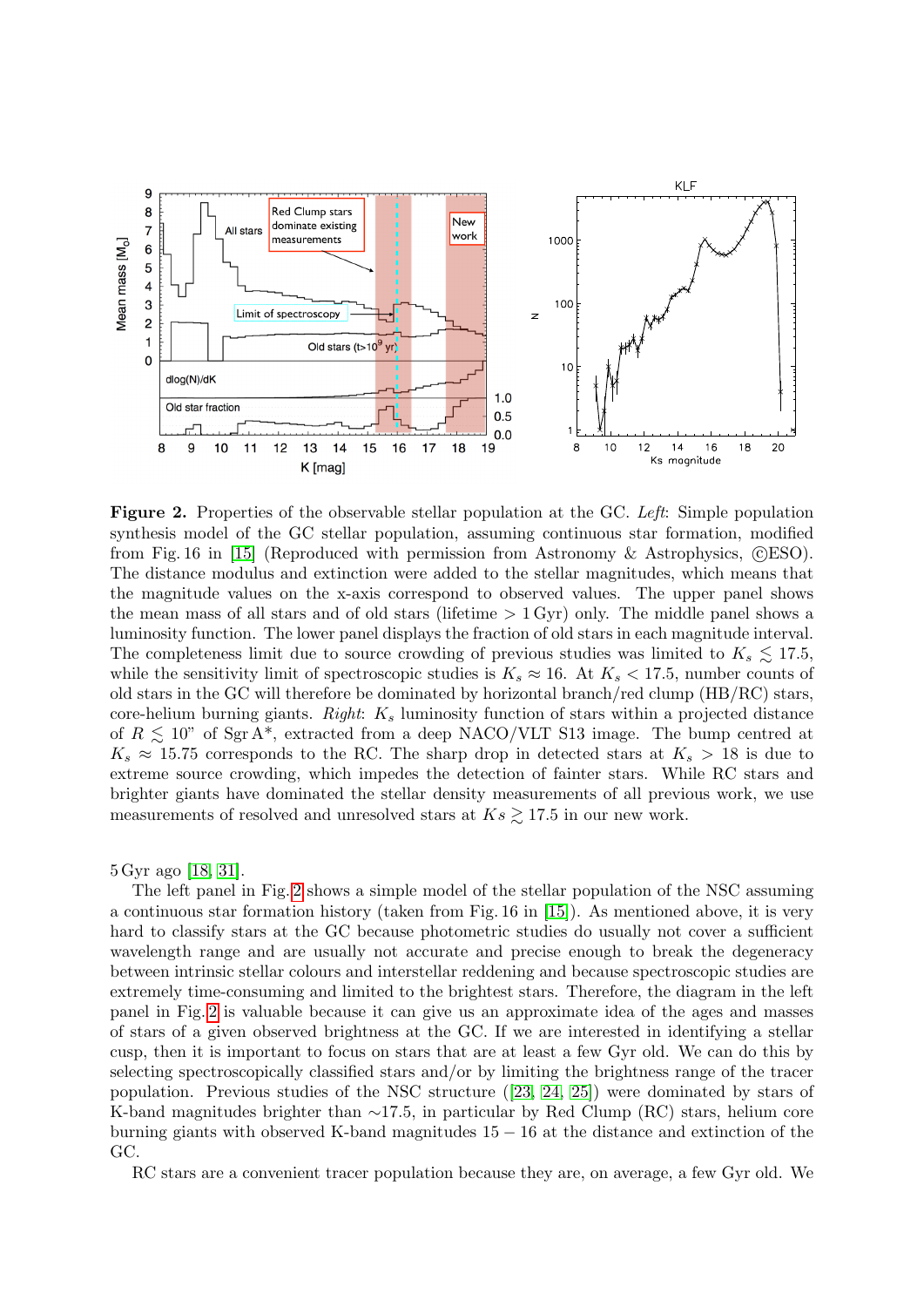

Figure 2. Properties of the observable stellar population at the GC. Left: Simple population synthesis model of the GC stellar population, assuming continuous star formation, modified from Fig. 16 in [\[15\]](#page-6-14) (Reproduced with permission from Astronomy & Astrophysics,  $(ESO)$ ). The distance modulus and extinction were added to the stellar magnitudes, which means that the magnitude values on the x-axis correspond to observed values. The upper panel shows the mean mass of all stars and of old stars (lifetime  $> 1 \,\mathrm{Gyr}$ ) only. The middle panel shows a luminosity function. The lower panel displays the fraction of old stars in each magnitude interval. The completeness limit due to source crowding of previous studies was limited to  $K_s \leq 17.5$ , while the sensitivity limit of spectroscopic studies is  $K_s \approx 16$ . At  $K_s < 17.5$ , number counts of old stars in the GC will therefore be dominated by horizontal branch/red clump (HB/RC) stars, core-helium burning giants. Right:  $K_s$  luminosity function of stars within a projected distance of  $R \leq 10$ " of Sgr A<sup>\*</sup>, extracted from a deep NACO/VLT S13 image. The bump centred at  $K_s \approx 15.75$  corresponds to the RC. The sharp drop in detected stars at  $K_s > 18$  is due to extreme source crowding, which impedes the detection of fainter stars. While RC stars and brighter giants have dominated the stellar density measurements of all previous work, we use measurements of resolved and unresolved stars at  $K_s \gtrsim 17.5$  in our new work.

5 Gyr ago [\[18,](#page-6-17) [31\]](#page-7-9).

The left panel in Fig. [2](#page-2-0) shows a simple model of the stellar population of the NSC assuming a continuous star formation history (taken from Fig. 16 in [\[15\]](#page-6-14)). As mentioned above, it is very hard to classify stars at the GC because photometric studies do usually not cover a sufficient wavelength range and are usually not accurate and precise enough to break the degeneracy between intrinsic stellar colours and interstellar reddening and because spectroscopic studies are extremely time-consuming and limited to the brightest stars. Therefore, the diagram in the left panel in Fig. [2](#page-2-0) is valuable because it can give us an approximate idea of the ages and masses of stars of a given observed brightness at the GC. If we are interested in identifying a stellar cusp, then it is important to focus on stars that are at least a few Gyr old. We can do this by selecting spectroscopically classified stars and/or by limiting the brightness range of the tracer population. Previous studies of the NSC structure ([\[23,](#page-7-1) [24,](#page-7-2) [25\]](#page-7-3)) were dominated by stars of K-band magnitudes brighter than ∼17.5, in particular by Red Clump (RC) stars, helium core burning giants with observed K-band magnitudes  $15 - 16$  at the distance and extinction of the GC.

RC stars are a convenient tracer population because they are, on average, a few Gyr old. We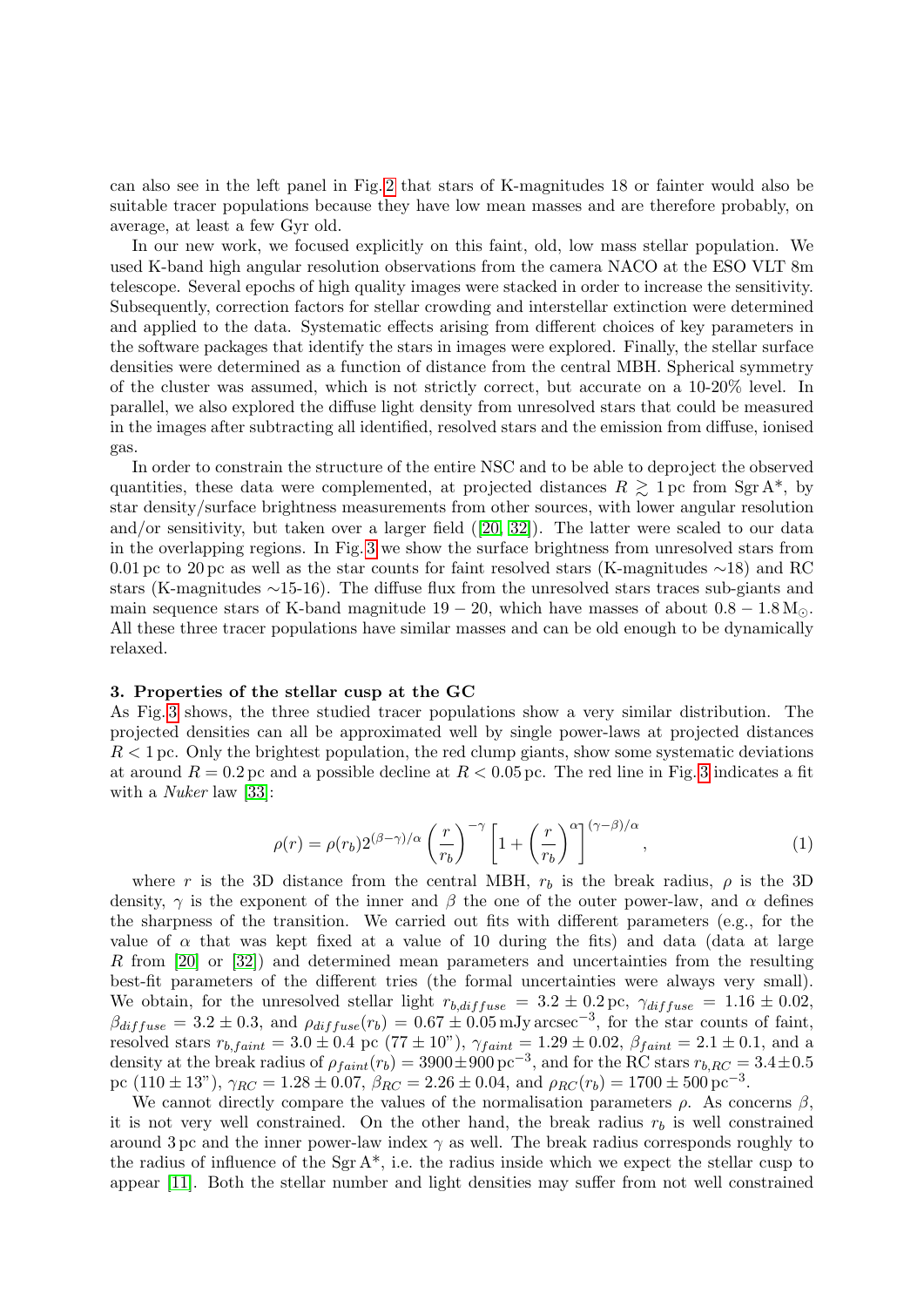can also see in the left panel in Fig. [2](#page-2-0) that stars of K-magnitudes 18 or fainter would also be suitable tracer populations because they have low mean masses and are therefore probably, on average, at least a few Gyr old.

In our new work, we focused explicitly on this faint, old, low mass stellar population. We used K-band high angular resolution observations from the camera NACO at the ESO VLT 8m telescope. Several epochs of high quality images were stacked in order to increase the sensitivity. Subsequently, correction factors for stellar crowding and interstellar extinction were determined and applied to the data. Systematic effects arising from different choices of key parameters in the software packages that identify the stars in images were explored. Finally, the stellar surface densities were determined as a function of distance from the central MBH. Spherical symmetry of the cluster was assumed, which is not strictly correct, but accurate on a 10-20% level. In parallel, we also explored the diffuse light density from unresolved stars that could be measured in the images after subtracting all identified, resolved stars and the emission from diffuse, ionised gas.

In order to constrain the structure of the entire NSC and to be able to deproject the observed quantities, these data were complemented, at projected distances  $R \gtrsim 1$  pc from Sgr A<sup>\*</sup>, by star density/surface brightness measurements from other sources, with lower angular resolution and/or sensitivity, but taken over a larger field ([\[20,](#page-6-19) [32\]](#page-7-10)). The latter were scaled to our data in the overlapping regions. In Fig. [3](#page-4-0) we show the surface brightness from unresolved stars from 0.01 pc to 20 pc as well as the star counts for faint resolved stars (K-magnitudes ∼18) and RC stars (K-magnitudes ∼15-16). The diffuse flux from the unresolved stars traces sub-giants and main sequence stars of K-band magnitude  $19 - 20$ , which have masses of about  $0.8 - 1.8 M_{\odot}$ . All these three tracer populations have similar masses and can be old enough to be dynamically relaxed.

#### <span id="page-4-0"></span>3. Properties of the stellar cusp at the GC

As Fig. [3](#page-4-0) shows, the three studied tracer populations show a very similar distribution. The projected densities can all be approximated well by single power-laws at projected distances  $R < 1$  pc. Only the brightest population, the red clump giants, show some systematic deviations at around  $R = 0.2$  pc and a possible decline at  $R < 0.05$  pc. The red line in Fig. [3](#page-4-0) indicates a fit with a *Nuker* law [\[33\]](#page-7-11):

$$
\rho(r) = \rho(r_b)2^{(\beta-\gamma)/\alpha} \left(\frac{r}{r_b}\right)^{-\gamma} \left[1 + \left(\frac{r}{r_b}\right)^{\alpha}\right]^{(\gamma-\beta)/\alpha},\tag{1}
$$

where r is the 3D distance from the central MBH,  $r_b$  is the break radius,  $\rho$  is the 3D density,  $\gamma$  is the exponent of the inner and  $\beta$  the one of the outer power-law, and  $\alpha$  defines the sharpness of the transition. We carried out fits with different parameters (e.g., for the value of  $\alpha$  that was kept fixed at a value of 10 during the fits) and data (data at large R from [\[20\]](#page-6-19) or [\[32\]](#page-7-10)) and determined mean parameters and uncertainties from the resulting best-fit parameters of the different tries (the formal uncertainties were always very small). We obtain, for the unresolved stellar light  $r_{b,diffuse} = 3.2 \pm 0.2$  pc,  $\gamma_{diffuse} = 1.16 \pm 0.02$ ,  $\beta_{diffuse} = 3.2 \pm 0.3$ , and  $\rho_{diffuse}(r_b) = 0.67 \pm 0.05$  mJy arcsec<sup>-3</sup>, for the star counts of faint, resolved stars  $r_{b, faint} = 3.0 \pm 0.4$  pc  $(77 \pm 10^{\circ})$ ,  $\gamma_{faint} = 1.29 \pm 0.02$ ,  $\beta_{faint} = 2.1 \pm 0.1$ , and a density at the break radius of  $\rho_{faint}(r_b) = 3900 \pm 900 \,\text{pc}^{-3}$ , and for the RC stars  $r_{b,RC} = 3.4 \pm 0.5$ pc  $(110 \pm 13^{\circ})$ ,  $\gamma_{RC} = 1.28 \pm 0.07$ ,  $\beta_{RC} = 2.26 \pm 0.04$ , and  $\rho_{RC}(r_b) = 1700 \pm 500 \,\text{pc}^{-3}$ .

We cannot directly compare the values of the normalisation parameters  $\rho$ . As concerns  $\beta$ , it is not very well constrained. On the other hand, the break radius  $r_b$  is well constrained around 3 pc and the inner power-law index  $\gamma$  as well. The break radius corresponds roughly to the radius of influence of the  $Sgr A^*$ , i.e. the radius inside which we expect the stellar cusp to appear [\[11\]](#page-6-10). Both the stellar number and light densities may suffer from not well constrained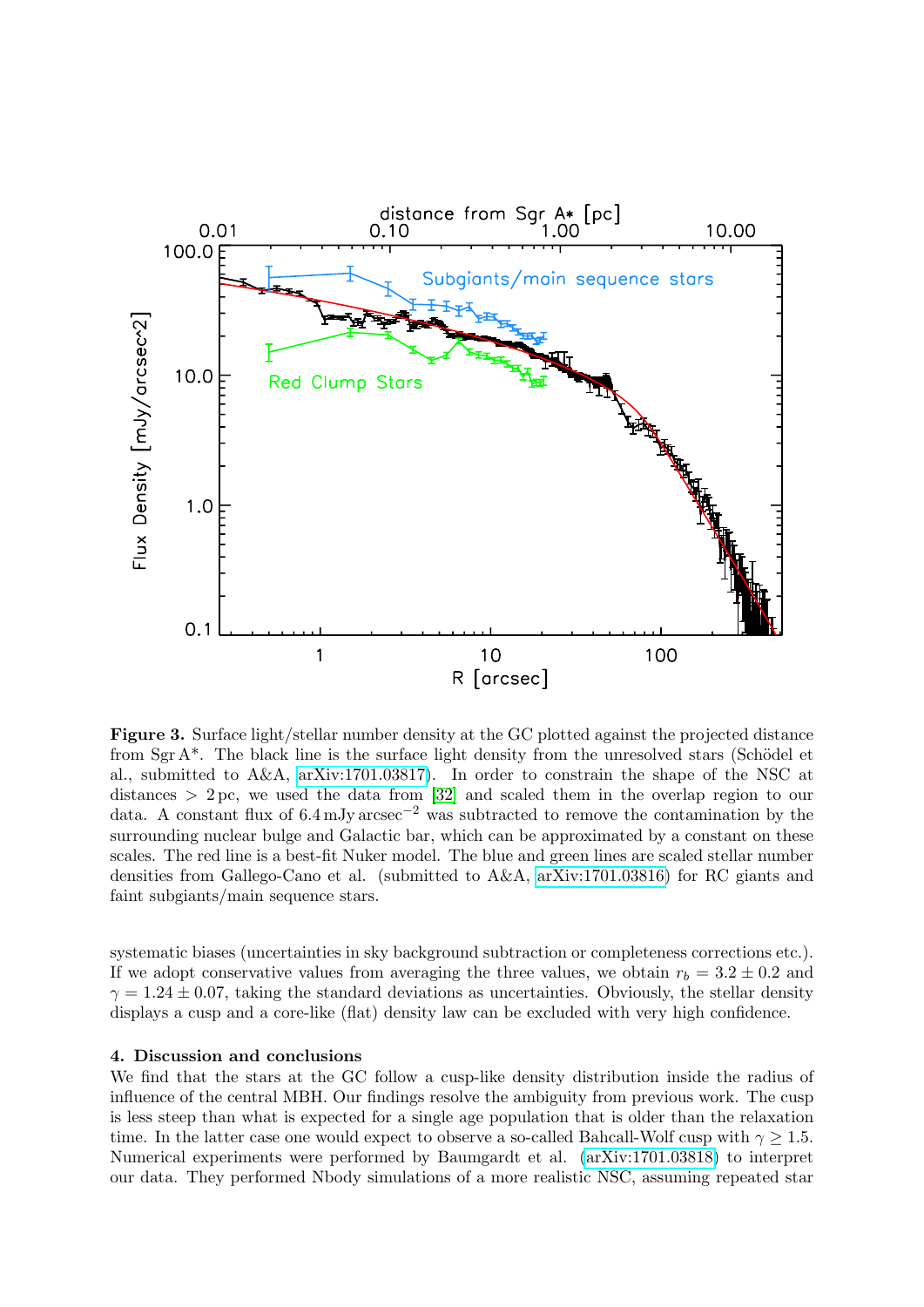

Figure 3. Surface light/stellar number density at the GC plotted against the projected distance from Sgr  $A^*$ . The black line is the surface light density from the unresolved stars (Schödel et al., submitted to A&A, [arXiv:1701.03817\)](http://arxiv.org/abs/1701.03817). In order to constrain the shape of the NSC at distances  $> 2pc$ , we used the data from [\[32\]](#page-7-10) and scaled them in the overlap region to our data. A constant flux of 6.4 mJy arcsec−<sup>2</sup> was subtracted to remove the contamination by the surrounding nuclear bulge and Galactic bar, which can be approximated by a constant on these scales. The red line is a best-fit Nuker model. The blue and green lines are scaled stellar number densities from Gallego-Cano et al. (submitted to A&A, [arXiv:1701.03816\)](http://arxiv.org/abs/1701.03816) for RC giants and faint subgiants/main sequence stars.

systematic biases (uncertainties in sky background subtraction or completeness corrections etc.). If we adopt conservative values from averaging the three values, we obtain  $r_b = 3.2 \pm 0.2$  and  $\gamma = 1.24 \pm 0.07$ , taking the standard deviations as uncertainties. Obviously, the stellar density displays a cusp and a core-like (flat) density law can be excluded with very high confidence.

#### 4. Discussion and conclusions

We find that the stars at the GC follow a cusp-like density distribution inside the radius of influence of the central MBH. Our findings resolve the ambiguity from previous work. The cusp is less steep than what is expected for a single age population that is older than the relaxation time. In the latter case one would expect to observe a so-called Bahcall-Wolf cusp with  $\gamma \geq 1.5$ . Numerical experiments were performed by Baumgardt et al. [\(arXiv:1701.03818\)](http://arxiv.org/abs/1701.03818) to interpret our data. They performed Nbody simulations of a more realistic NSC, assuming repeated star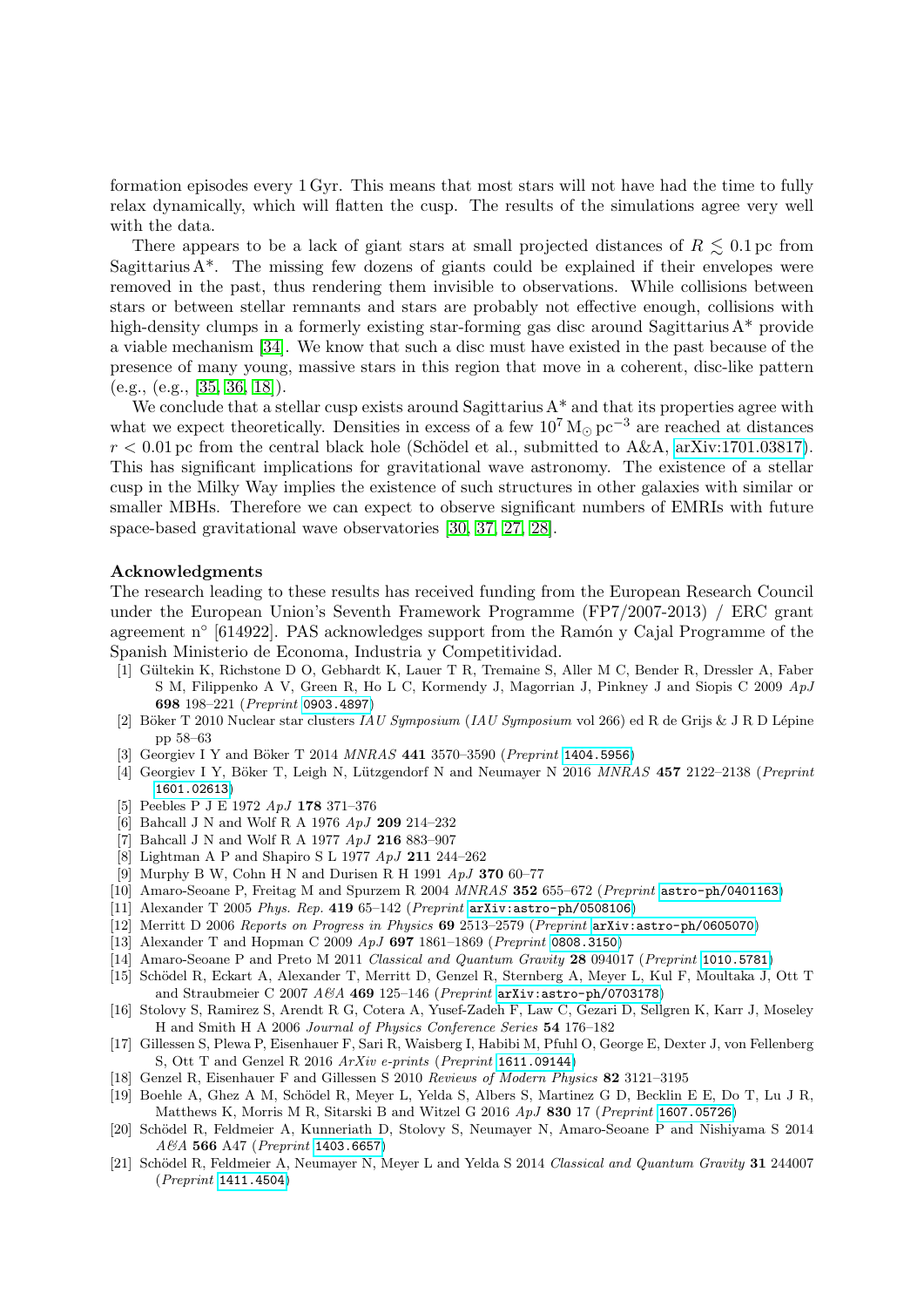formation episodes every 1 Gyr. This means that most stars will not have had the time to fully relax dynamically, which will flatten the cusp. The results of the simulations agree very well with the data.

There appears to be a lack of giant stars at small projected distances of  $R \leq 0.1$  pc from Sagittarius A\*. The missing few dozens of giants could be explained if their envelopes were removed in the past, thus rendering them invisible to observations. While collisions between stars or between stellar remnants and stars are probably not effective enough, collisions with high-density clumps in a formerly existing star-forming gas disc around Sagittarius A\* provide a viable mechanism [\[34\]](#page-7-12). We know that such a disc must have existed in the past because of the presence of many young, massive stars in this region that move in a coherent, disc-like pattern (e.g., (e.g., [\[35,](#page-7-13) [36,](#page-7-14) [18\]](#page-6-17)).

We conclude that a stellar cusp exists around Sagittarius  $A^*$  and that its properties agree with what we expect theoretically. Densities in excess of a few  $10^7 \,\mathrm{M}_{\odot} \,\mathrm{pc}^{-3}$  are reached at distances  $r < 0.01$  pc from the central black hole (Schödel et al., submitted to A&A, [arXiv:1701.03817\)](http://arxiv.org/abs/1701.03817). This has significant implications for gravitational wave astronomy. The existence of a stellar cusp in the Milky Way implies the existence of such structures in other galaxies with similar or smaller MBHs. Therefore we can expect to observe significant numbers of EMRIs with future space-based gravitational wave observatories [\[30,](#page-7-8) [37,](#page-7-15) [27,](#page-7-5) [28\]](#page-7-6).

## Acknowledgments

The research leading to these results has received funding from the European Research Council under the European Union's Seventh Framework Programme (FP7/2007-2013) / ERC grant agreement n° [614922]. PAS acknowledges support from the Ramón y Cajal Programme of the Spanish Ministerio de Economa, Industria y Competitividad.

- <span id="page-6-0"></span>[1] Gültekin K, Richstone D O, Gebhardt K, Lauer T R, Tremaine S, Aller M C, Bender R, Dressler A, Faber S M, Filippenko A V, Green R, Ho L C, Kormendy J, Magorrian J, Pinkney J and Siopis C 2009 ApJ 698 198–221 (Preprint <0903.4897>)
- <span id="page-6-1"></span>[2] Böker T 2010 Nuclear star clusters IAU Symposium (IAU Symposium vol 266) ed R de Grijs & J R D Lépine pp 58–63
- <span id="page-6-2"></span>[3] Georgiev I Y and Böker T 2014 MNRAS 441 3570-3590 (Preprint <1404.5956>)
- <span id="page-6-3"></span>[4] Georgiev I Y, Böker T, Leigh N, Lützgendorf N and Neumayer N 2016 MNRAS 457 2122-2138 (Preprint <1601.02613>)
- <span id="page-6-4"></span>[5] Peebles P J E 1972 ApJ 178 371–376
- <span id="page-6-5"></span>[6] Bahcall J N and Wolf R A 1976 ApJ 209 214–232
- <span id="page-6-6"></span>[7] Bahcall J N and Wolf R A 1977 ApJ 216 883–907
- <span id="page-6-7"></span>[8] Lightman A P and Shapiro S L 1977 ApJ 211 244–262
- <span id="page-6-8"></span>[9] Murphy B W, Cohn H N and Durisen R H 1991 ApJ 370 60–77
- <span id="page-6-9"></span>[10] Amaro-Seoane P, Freitag M and Spurzem R 2004 MNRAS 352 655-672 (Preprint <astro-ph/0401163>)
- <span id="page-6-10"></span>[11] Alexander T 2005 Phys. Rep. 419 65-142 (Preprint arXiv: astro-ph/0508106)
- <span id="page-6-11"></span>[12] Merritt D 2006 Reports on Progress in Physics 69 2513–2579 (Preprint <arXiv:astro-ph/0605070>)
- <span id="page-6-12"></span>[13] Alexander T and Hopman C 2009 ApJ 697 1861–1869 (Preprint <0808.3150>)
- <span id="page-6-13"></span>[14] Amaro-Seoane P and Preto M 2011 Classical and Quantum Gravity 28 094017 (Preprint <1010.5781>)
- <span id="page-6-14"></span>[15] Schödel R, Eckart A, Alexander T, Merritt D, Genzel R, Sternberg A, Meyer L, Kul F, Moultaka J, Ott T and Straubmeier C 2007 A&A 469 125–146 (Preprint <arXiv:astro-ph/0703178>)
- <span id="page-6-15"></span>[16] Stolovy S, Ramirez S, Arendt R G, Cotera A, Yusef-Zadeh F, Law C, Gezari D, Sellgren K, Karr J, Moseley H and Smith H A 2006 Journal of Physics Conference Series 54 176–182
- <span id="page-6-16"></span>[17] Gillessen S, Plewa P, Eisenhauer F, Sari R, Waisberg I, Habibi M, Pfuhl O, George E, Dexter J, von Fellenberg S, Ott T and Genzel R 2016 ArXiv e-prints (Preprint <1611.09144>)
- <span id="page-6-17"></span>[18] Genzel R, Eisenhauer F and Gillessen S 2010 Reviews of Modern Physics 82 3121–3195
- <span id="page-6-18"></span>[19] Boehle A, Ghez A M, Schödel R, Meyer L, Yelda S, Albers S, Martinez G D, Becklin E E, Do T, Lu J R, Matthews K, Morris M R, Sitarski B and Witzel G 2016 ApJ 830 17 (Preprint <1607.05726>)
- <span id="page-6-19"></span>[20] Schödel R, Feldmeier A, Kunneriath D, Stolovy S, Neumayer N, Amaro-Seoane P and Nishiyama S 2014 A&A 566 A47 (Preprint <1403.6657>)
- <span id="page-6-20"></span>[21] Schödel R, Feldmeier A, Neumayer N, Meyer L and Yelda S 2014 Classical and Quantum Gravity 31 244007 (Preprint <1411.4504>)